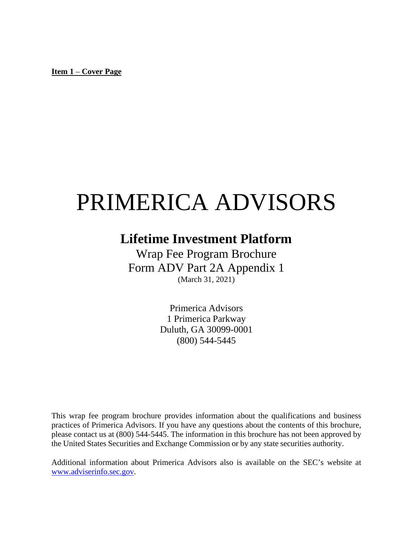<span id="page-0-0"></span>**Item 1** – **Cover Page**

# PRIMERICA ADVISORS

# **Lifetime Investment Platform**

Wrap Fee Program Brochure Form ADV Part 2A Appendix 1 (March 31, 2021)

> Primerica Advisors 1 Primerica Parkway Duluth, GA 30099-0001 (800) 544-5445

This wrap fee program brochure provides information about the qualifications and business practices of Primerica Advisors. If you have any questions about the contents of this brochure, please contact us at (800) 544-5445. The information in this brochure has not been approved by the United States Securities and Exchange Commission or by any state securities authority.

<span id="page-0-1"></span>Additional information about Primerica Advisors also is available on the SEC's website at [www.adviserinfo.sec.gov.](http://www.adviserinfo.sec.gov/)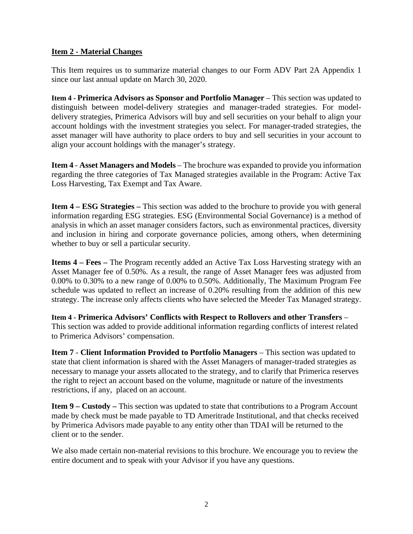# <span id="page-1-0"></span>**Item 2 - Material Changes**

This Item requires us to summarize material changes to our Form ADV Part 2A Appendix 1 since our last annual update on March 30, 2020.

**Item 4 - Primerica Advisors as Sponsor and Portfolio Manager** – This section was updated to distinguish between model-delivery strategies and manager-traded strategies. For modeldelivery strategies, Primerica Advisors will buy and sell securities on your behalf to align your account holdings with the investment strategies you select. For manager-traded strategies, the asset manager will have authority to place orders to buy and sell securities in your account to align your account holdings with the manager's strategy.

**Item 4** - **Asset Managers and Models** – The brochure was expanded to provide you information regarding the three categories of Tax Managed strategies available in the Program: Active Tax Loss Harvesting, Tax Exempt and Tax Aware.

**Item 4 – ESG Strategies –** This section was added to the brochure to provide you with general information regarding ESG strategies. ESG (Environmental Social Governance) is a method of analysis in which an asset manager considers factors, such as environmental practices, diversity and inclusion in hiring and corporate governance policies, among others, when determining whether to buy or sell a particular security.

**Items 4 – Fees –** The Program recently added an Active Tax Loss Harvesting strategy with an Asset Manager fee of 0.50%. As a result, the range of Asset Manager fees was adjusted from 0.00% to 0.30% to a new range of 0.00% to 0.50%. Additionally, The Maximum Program Fee schedule was updated to reflect an increase of 0.20% resulting from the addition of this new strategy. The increase only affects clients who have selected the Meeder Tax Managed strategy.

**Item 4 - Primerica Advisors' Conflicts with Respect to Rollovers and other Transfers** – This section was added to provide additional information regarding conflicts of interest related to Primerica Advisors' compensation.

**Item 7** - **Client Information Provided to Portfolio Managers** – This section was updated to state that client information is shared with the Asset Managers of manager-traded strategies as necessary to manage your assets allocated to the strategy, and to clarify that Primerica reserves the right to reject an account based on the volume, magnitude or nature of the investments restrictions, if any, placed on an account.

**Item 9 – Custody –** This section was updated to state that contributions to a Program Account made by check must be made payable to TD Ameritrade Institutional, and that checks received by Primerica Advisors made payable to any entity other than TDAI will be returned to the client or to the sender.

We also made certain non-material revisions to this brochure. We encourage you to review the entire document and to speak with your Advisor if you have any questions.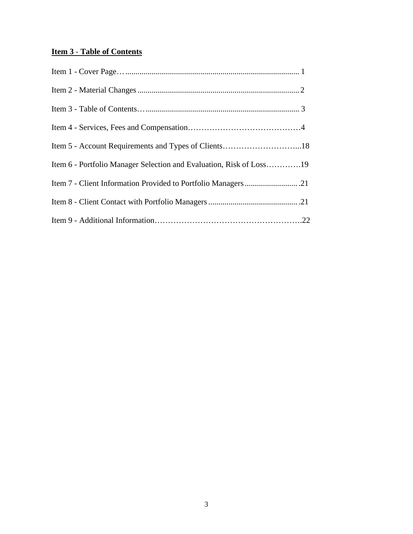# **Item 3** - **Table of Contents**

<span id="page-2-0"></span>

| Item 5 - Account Requirements and Types of Clients18                |  |
|---------------------------------------------------------------------|--|
| Item 6 - Portfolio Manager Selection and Evaluation, Risk of Loss19 |  |
|                                                                     |  |
|                                                                     |  |
|                                                                     |  |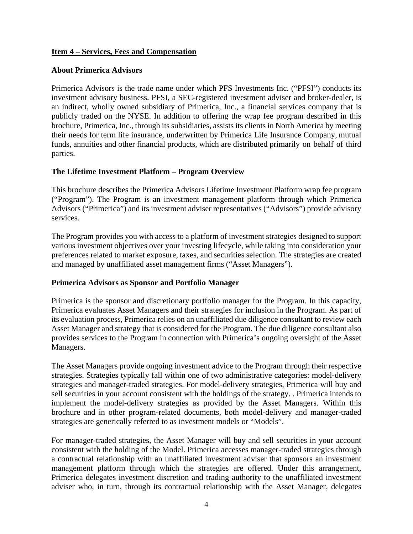#### **Item 4 – Services, Fees and Compensation**

# **About Primerica Advisors**

Primerica Advisors is the trade name under which PFS Investments Inc. ("PFSI") conducts its investment advisory business. PFSI, a SEC-registered investment adviser and broker-dealer, is an indirect, wholly owned subsidiary of Primerica, Inc., a financial services company that is publicly traded on the NYSE. In addition to offering the wrap fee program described in this brochure, Primerica, Inc., through its subsidiaries, assists its clients in North America by meeting their needs for term life insurance, underwritten by Primerica Life Insurance Company, mutual funds, annuities and other financial products, which are distributed primarily on behalf of third parties.

#### **The Lifetime Investment Platform – Program Overview**

This brochure describes the Primerica Advisors Lifetime Investment Platform wrap fee program ("Program"). The Program is an investment management platform through which Primerica Advisors ("Primerica") and its investment adviser representatives ("Advisors") provide advisory services.

The Program provides you with access to a platform of investment strategies designed to support various investment objectives over your investing lifecycle, while taking into consideration your preferences related to market exposure, taxes, and securities selection. The strategies are created and managed by unaffiliated asset management firms ("Asset Managers").

#### **Primerica Advisors as Sponsor and Portfolio Manager**

Primerica is the sponsor and discretionary portfolio manager for the Program. In this capacity, Primerica evaluates Asset Managers and their strategies for inclusion in the Program. As part of its evaluation process, Primerica relies on an unaffiliated due diligence consultant to review each Asset Manager and strategy that is considered for the Program. The due diligence consultant also provides services to the Program in connection with Primerica's ongoing oversight of the Asset Managers.

The Asset Managers provide ongoing investment advice to the Program through their respective strategies. Strategies typically fall within one of two administrative categories: model-delivery strategies and manager-traded strategies. For model-delivery strategies, Primerica will buy and sell securities in your account consistent with the holdings of the strategy. . Primerica intends to implement the model-delivery strategies as provided by the Asset Managers. Within this brochure and in other program-related documents, both model-delivery and manager-traded strategies are generically referred to as investment models or "Models".

For manager-traded strategies, the Asset Manager will buy and sell securities in your account consistent with the holding of the Model. Primerica accesses manager-traded strategies through a contractual relationship with an unaffiliated investment adviser that sponsors an investment management platform through which the strategies are offered. Under this arrangement, Primerica delegates investment discretion and trading authority to the unaffiliated investment adviser who, in turn, through its contractual relationship with the Asset Manager, delegates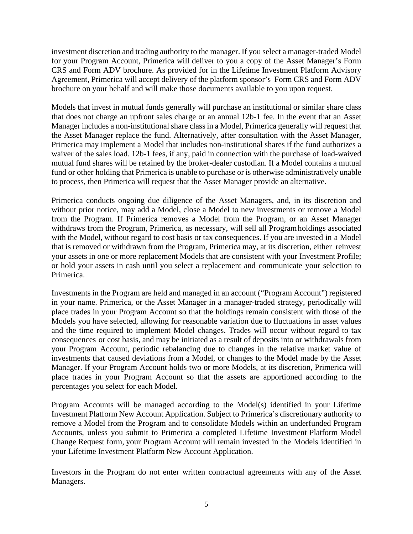investment discretion and trading authority to the manager. If you select a manager-traded Model for your Program Account, Primerica will deliver to you a copy of the Asset Manager's Form CRS and Form ADV brochure. As provided for in the Lifetime Investment Platform Advisory Agreement, Primerica will accept delivery of the platform sponsor's Form CRS and Form ADV brochure on your behalf and will make those documents available to you upon request.

Models that invest in mutual funds generally will purchase an institutional or similar share class that does not charge an upfront sales charge or an annual 12b-1 fee. In the event that an Asset Manager includes a non-institutional share class in a Model, Primerica generally will request that the Asset Manager replace the fund. Alternatively, after consultation with the Asset Manager, Primerica may implement a Model that includes non-institutional shares if the fund authorizes a waiver of the sales load. 12b-1 fees, if any, paid in connection with the purchase of load-waived mutual fund shares will be retained by the broker-dealer custodian. If a Model contains a mutual fund or other holding that Primerica is unable to purchase or is otherwise administratively unable to process, then Primerica will request that the Asset Manager provide an alternative.

Primerica conducts ongoing due diligence of the Asset Managers, and, in its discretion and without prior notice, may add a Model, close a Model to new investments or remove a Model from the Program. If Primerica removes a Model from the Program, or an Asset Manager withdraws from the Program, Primerica, as necessary, will sell all Programholdings associated with the Model, without regard to cost basis or tax consequences. If you are invested in a Model that is removed or withdrawn from the Program, Primerica may, at its discretion, either reinvest your assets in one or more replacement Models that are consistent with your Investment Profile; or hold your assets in cash until you select a replacement and communicate your selection to Primerica.

Investments in the Program are held and managed in an account ("Program Account") registered in your name. Primerica, or the Asset Manager in a manager-traded strategy, periodically will place trades in your Program Account so that the holdings remain consistent with those of the Models you have selected, allowing for reasonable variation due to fluctuations in asset values and the time required to implement Model changes. Trades will occur without regard to tax consequences or cost basis, and may be initiated as a result of deposits into or withdrawals from your Program Account, periodic rebalancing due to changes in the relative market value of investments that caused deviations from a Model, or changes to the Model made by the Asset Manager. If your Program Account holds two or more Models, at its discretion, Primerica will place trades in your Program Account so that the assets are apportioned according to the percentages you select for each Model.

Program Accounts will be managed according to the Model(s) identified in your Lifetime Investment Platform New Account Application. Subject to Primerica's discretionary authority to remove a Model from the Program and to consolidate Models within an underfunded Program Accounts, unless you submit to Primerica a completed Lifetime Investment Platform Model Change Request form, your Program Account will remain invested in the Models identified in your Lifetime Investment Platform New Account Application.

Investors in the Program do not enter written contractual agreements with any of the Asset Managers.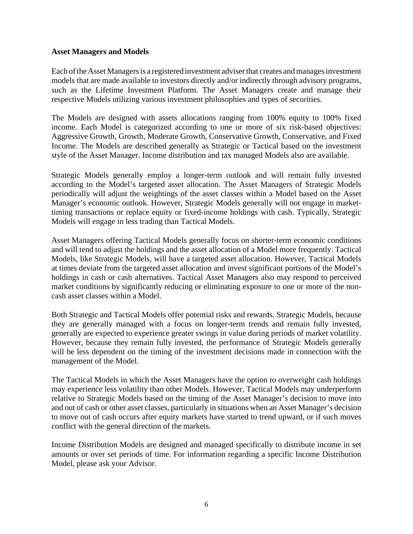#### **Asset Managers and Models**

Each ofthe Asset Managersis a registered investment adviserthat creates andmanagesinvestment models that are made available to investors directly and/or indirectly through advisory programs, such as the Lifetime Investment Platform. The Asset Managers create and manage their respective Models utilizing various investment philosophies and types of securities.

The Models are designed with assets allocations ranging from 100% equity to 100% fixed income. Each Model is categorized according to one or more of six risk-based objectives: Aggressive Growth, Growth, Moderate Growth, Conservative Growth, Conservative, and Fixed Income. The Models are described generally as Strategic or Tactical based on the investment style of the Asset Manager. Income distribution and tax managed Models also are available.

Strategic Models generally employ a longer-term outlook and will remain fully invested according to the Model's targeted asset allocation. The Asset Managers of Strategic Models periodically will adjust the weightings of the asset classes within a Model based on the Asset Manager's economic outlook. However, Strategic Models generally will not engage in markettiming transactions or replace equity or fixed-income holdings with cash. Typically, Strategic Models will engage in less trading than Tactical Models.

Asset Managers offering Tactical Models generally focus on shorter-term economic conditions and will tend to adjust the holdings and the asset allocation of a Model more frequently. Tactical Models, like Strategic Models, will have a targeted asset allocation. However, Tactical Models at times deviate from the targeted asset allocation and invest significant portions of the Model's holdings in cash or cash alternatives. Tactical Asset Managers also may respond to perceived market conditions by significantly reducing or eliminating exposure to one or more of the noncash asset classes within a Model.

Both Strategic and Tactical Models offer potential risks and rewards. Strategic Models, because they are generally managed with a focus on longer-term trends and remain fully invested, generally are expected to experience greater swings in value during periods of market volatility. However, because they remain fully invested, the performance of Strategic Models generally will be less dependent on the timing of the investment decisions made in connection with the management of the Model.

The Tactical Models in which the Asset Managers have the option to overweight cash holdings may experience less volatility than other Models. However, Tactical Models may underperform relative to Strategic Models based on the timing of the Asset Manager's decision to move into and out of cash or other asset classes, particularly in situations when an Asset Manager's decision to move out of cash occurs after equity markets have started to trend upward, or if such moves conflict with the general direction of the markets.

Income Distribution Models are designed and managed specifically to distribute income in set amounts or over set periods of time. For information regarding a specific Income Distribution Model, please ask your Advisor.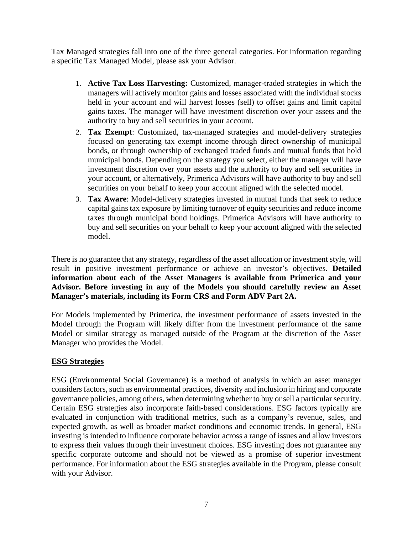Tax Managed strategies fall into one of the three general categories. For information regarding a specific Tax Managed Model, please ask your Advisor.

- 1. **Active Tax Loss Harvesting:** Customized, manager-traded strategies in which the managers will actively monitor gains and losses associated with the individual stocks held in your account and will harvest losses (sell) to offset gains and limit capital gains taxes. The manager will have investment discretion over your assets and the authority to buy and sell securities in your account.
- 2. **Tax Exempt**: Customized, tax-managed strategies and model-delivery strategies focused on generating tax exempt income through direct ownership of municipal bonds, or through ownership of exchanged traded funds and mutual funds that hold municipal bonds. Depending on the strategy you select, either the manager will have investment discretion over your assets and the authority to buy and sell securities in your account, or alternatively, Primerica Advisors will have authority to buy and sell securities on your behalf to keep your account aligned with the selected model.
- 3. **Tax Aware**: Model-delivery strategies invested in mutual funds that seek to reduce capital gains tax exposure by limiting turnover of equity securities and reduce income taxes through municipal bond holdings. Primerica Advisors will have authority to buy and sell securities on your behalf to keep your account aligned with the selected model.

There is no guarantee that any strategy, regardless of the asset allocation or investment style, will result in positive investment performance or achieve an investor's objectives. **Detailed information about each of the Asset Managers is available from Primerica and your Advisor. Before investing in any of the Models you should carefully review an Asset Manager's materials, including its Form CRS and Form ADV Part 2A.**

For Models implemented by Primerica, the investment performance of assets invested in the Model through the Program will likely differ from the investment performance of the same Model or similar strategy as managed outside of the Program at the discretion of the Asset Manager who provides the Model.

#### **ESG Strategies**

ESG (Environmental Social Governance) is a method of analysis in which an asset manager considersfactors, such as environmental practices, diversity and inclusion in hiring and corporate governance policies, among others, when determining whether to buy or sell a particular security. Certain ESG strategies also incorporate faith-based considerations. ESG factors typically are evaluated in conjunction with traditional metrics, such as a company's revenue, sales, and expected growth, as well as broader market conditions and economic trends. In general, ESG investing is intended to influence corporate behavior across a range of issues and allow investors to express their values through their investment choices. ESG investing does not guarantee any specific corporate outcome and should not be viewed as a promise of superior investment performance. For information about the ESG strategies available in the Program, please consult with your Advisor.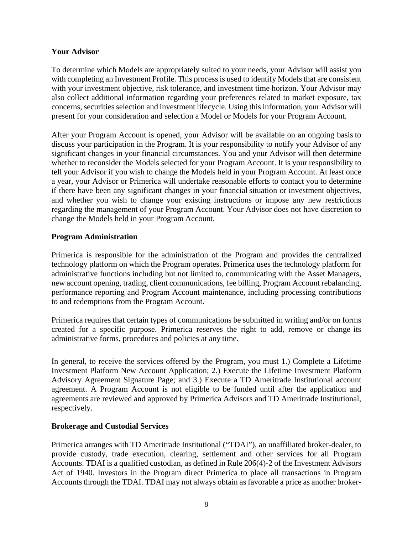# **Your Advisor**

To determine which Models are appropriately suited to your needs, your Advisor will assist you with completing an Investment Profile. This process is used to identify Models that are consistent with your investment objective, risk tolerance, and investment time horizon. Your Advisor may also collect additional information regarding your preferences related to market exposure, tax concerns, securities selection and investment lifecycle. Using this information, your Advisor will present for your consideration and selection a Model or Models for your Program Account.

After your Program Account is opened, your Advisor will be available on an ongoing basis to discuss your participation in the Program. It is your responsibility to notify your Advisor of any significant changes in your financial circumstances. You and your Advisor will then determine whether to reconsider the Models selected for your Program Account. It is your responsibility to tell your Advisor if you wish to change the Models held in your Program Account. At least once a year, your Advisor or Primerica will undertake reasonable efforts to contact you to determine if there have been any significant changes in your financial situation or investment objectives, and whether you wish to change your existing instructions or impose any new restrictions regarding the management of your Program Account. Your Advisor does not have discretion to change the Models held in your Program Account.

# **Program Administration**

Primerica is responsible for the administration of the Program and provides the centralized technology platform on which the Program operates. Primerica uses the technology platform for administrative functions including but not limited to, communicating with the Asset Managers, new account opening, trading, client communications, fee billing, Program Account rebalancing, performance reporting and Program Account maintenance, including processing contributions to and redemptions from the Program Account.

Primerica requires that certain types of communications be submitted in writing and/or on forms created for a specific purpose. Primerica reserves the right to add, remove or change its administrative forms, procedures and policies at any time.

In general, to receive the services offered by the Program, you must 1.) Complete a Lifetime Investment Platform New Account Application; 2.) Execute the Lifetime Investment Platform Advisory Agreement Signature Page; and 3.) Execute a TD Ameritrade Institutional account agreement. A Program Account is not eligible to be funded until after the application and agreements are reviewed and approved by Primerica Advisors and TD Ameritrade Institutional, respectively.

#### **Brokerage and Custodial Services**

Primerica arranges with TD Ameritrade Institutional ("TDAI"), an unaffiliated broker-dealer, to provide custody, trade execution, clearing, settlement and other services for all Program Accounts. TDAI is a qualified custodian, as defined in Rule 206(4)-2 of the Investment Advisors Act of 1940. Investors in the Program direct Primerica to place all transactions in Program Accounts through the TDAI. TDAI may not always obtain as favorable a price as another broker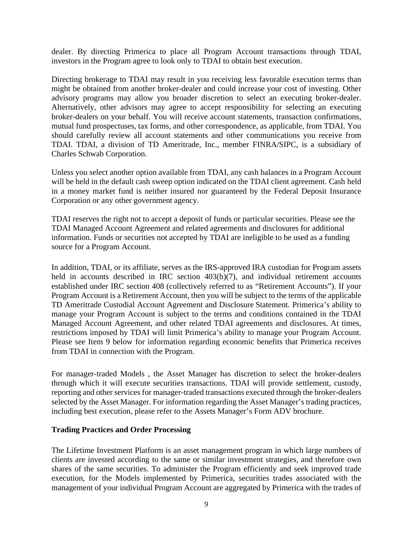dealer. By directing Primerica to place all Program Account transactions through TDAI, investors in the Program agree to look only to TDAI to obtain best execution.

Directing brokerage to TDAI may result in you receiving less favorable execution terms than might be obtained from another broker-dealer and could increase your cost of investing. Other advisory programs may allow you broader discretion to select an executing broker-dealer. Alternatively, other advisors may agree to accept responsibility for selecting an executing broker-dealers on your behalf. You will receive account statements, transaction confirmations, mutual fund prospectuses, tax forms, and other correspondence, as applicable, from TDAI. You should carefully review all account statements and other communications you receive from TDAI. TDAI, a division of TD Ameritrade, Inc., member FINRA/SIPC, is a subsidiary of Charles Schwab Corporation.

Unless you select another option available from TDAI, any cash balances in a Program Account will be held in the default cash sweep option indicated on the TDAI client agreement. Cash held in a money market fund is neither insured nor guaranteed by the Federal Deposit Insurance Corporation or any other government agency.

TDAI reserves the right not to accept a deposit of funds or particular securities. Please see the TDAI Managed Account Agreement and related agreements and disclosures for additional information. Funds or securities not accepted by TDAI are ineligible to be used as a funding source for a Program Account.

In addition, TDAI, or its affiliate, serves as the IRS-approved IRA custodian for Program assets held in accounts described in IRC section 403(b)(7), and individual retirement accounts established under IRC section 408 (collectively referred to as "Retirement Accounts"). If your Program Account is a Retirement Account, then you will be subject to the terms of the applicable TD Ameritrade Custodial Account Agreement and Disclosure Statement. Primerica's ability to manage your Program Account is subject to the terms and conditions contained in the TDAI Managed Account Agreement, and other related TDAI agreements and disclosures. At times, restrictions imposed by TDAI will limit Primerica's ability to manage your Program Account. Please see Item 9 below for information regarding economic benefits that Primerica receives from TDAI in connection with the Program.

For manager-traded Models , the Asset Manager has discretion to select the broker-dealers through which it will execute securities transactions. TDAI will provide settlement, custody, reporting and other services for manager-traded transactions executed through the broker-dealers selected by the Asset Manager. For information regarding the Asset Manager's trading practices, including best execution, please refer to the Assets Manager's Form ADV brochure.

#### **Trading Practices and Order Processing**

The Lifetime Investment Platform is an asset management program in which large numbers of clients are invested according to the same or similar investment strategies, and therefore own shares of the same securities. To administer the Program efficiently and seek improved trade execution, for the Models implemented by Primerica, securities trades associated with the management of your individual Program Account are aggregated by Primerica with the trades of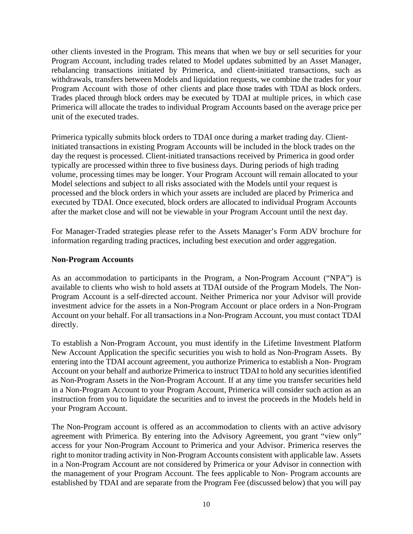other clients invested in the Program. This means that when we buy or sell securities for your Program Account, including trades related to Model updates submitted by an Asset Manager, rebalancing transactions initiated by Primerica, and client-initiated transactions, such as withdrawals, transfers between Models and liquidation requests, we combine the trades for your Program Account with those of other clients and place those trades with TDAI as block orders. Trades placed through block orders may be executed by TDAI at multiple prices, in which case Primerica will allocate the trades to individual Program Accounts based on the average price per unit of the executed trades.

Primerica typically submits block orders to TDAI once during a market trading day. Clientinitiated transactions in existing Program Accounts will be included in the block trades on the day the request is processed. Client-initiated transactions received by Primerica in good order typically are processed within three to five business days. During periods of high trading volume, processing times may be longer. Your Program Account will remain allocated to your Model selections and subject to all risks associated with the Models until your request is processed and the block orders in which your assets are included are placed by Primerica and executed by TDAI. Once executed, block orders are allocated to individual Program Accounts after the market close and will not be viewable in your Program Account until the next day.

For Manager-Traded strategies please refer to the Assets Manager's Form ADV brochure for information regarding trading practices, including best execution and order aggregation.

#### **Non-Program Accounts**

As an accommodation to participants in the Program, a Non-Program Account ("NPA") is available to clients who wish to hold assets at TDAI outside of the Program Models. The Non-Program Account is a self-directed account. Neither Primerica nor your Advisor will provide investment advice for the assets in a Non-Program Account or place orders in a Non-Program Account on your behalf. For all transactions in a Non-Program Account, you must contact TDAI directly.

To establish a Non-Program Account, you must identify in the Lifetime Investment Platform New Account Application the specific securities you wish to hold as Non-Program Assets. By entering into the TDAI account agreement, you authorize Primerica to establish a Non- Program Account on your behalf and authorize Primerica to instruct TDAI to hold any securities identified as Non-Program Assets in the Non-Program Account. If at any time you transfer securities held in a Non-Program Account to your Program Account, Primerica will consider such action as an instruction from you to liquidate the securities and to invest the proceeds in the Models held in your Program Account.

The Non-Program account is offered as an accommodation to clients with an active advisory agreement with Primerica. By entering into the Advisory Agreement, you grant "view only" access for your Non-Program Account to Primerica and your Advisor. Primerica reserves the right to monitor trading activity in Non-Program Accounts consistent with applicable law. Assets in a Non-Program Account are not considered by Primerica or your Advisor in connection with the management of your Program Account. The fees applicable to Non- Program accounts are established by TDAI and are separate from the Program Fee (discussed below) that you will pay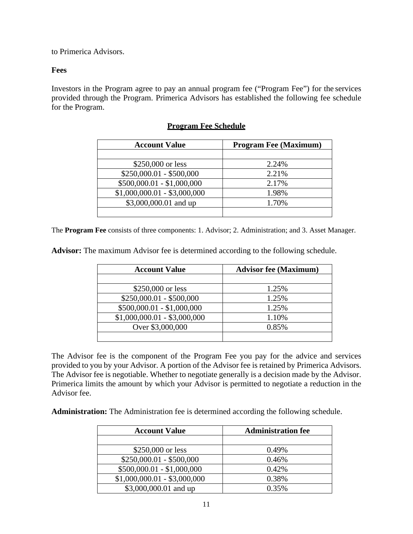to Primerica Advisors.

# **Fees**

Investors in the Program agree to pay an annual program fee ("Program Fee") for the services provided through the Program. Primerica Advisors has established the following fee schedule for the Program.

| <b>Account Value</b>         | <b>Program Fee (Maximum)</b> |
|------------------------------|------------------------------|
|                              |                              |
| \$250,000 or less            | 2.24%                        |
| $$250,000.01 - $500,000$     | 2.21%                        |
| $$500,000.01 - $1,000,000$   | 2.17%                        |
| $$1,000,000.01 - $3,000,000$ | 1.98%                        |
| \$3,000,000.01 and up        | 1.70%                        |
|                              |                              |

#### **Program Fee Schedule**

The **Program Fee** consists of three components: 1. Advisor; 2. Administration; and 3. Asset Manager.

**Advisor:** The maximum Advisor fee is determined according to the following schedule.

| <b>Account Value</b>         | <b>Advisor fee (Maximum)</b> |
|------------------------------|------------------------------|
|                              |                              |
| \$250,000 or less            | 1.25%                        |
| $$250,000.01 - $500,000$     | 1.25%                        |
| $$500,000.01 - $1,000,000$   | 1.25%                        |
| $$1,000,000.01 - $3,000,000$ | 1.10%                        |
| Over \$3,000,000             | 0.85%                        |
|                              |                              |

The Advisor fee is the component of the Program Fee you pay for the advice and services provided to you by your Advisor. A portion of the Advisor fee is retained by Primerica Advisors. The Advisor fee is negotiable. Whether to negotiate generally is a decision made by the Advisor. Primerica limits the amount by which your Advisor is permitted to negotiate a reduction in the Advisor fee.

**Administration:** The Administration fee is determined according the following schedule.

| <b>Account Value</b>         | <b>Administration fee</b> |
|------------------------------|---------------------------|
|                              |                           |
| \$250,000 or less            | 0.49%                     |
| $$250,000.01 - $500,000$     | 0.46%                     |
| $$500,000.01 - $1,000,000$   | 0.42%                     |
| $$1,000,000.01 - $3,000,000$ | 0.38%                     |
| \$3,000,000.01 and up        | 0.35%                     |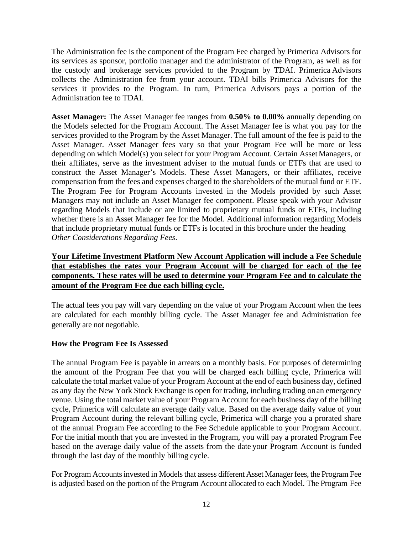The Administration fee is the component of the Program Fee charged by Primerica Advisors for its services as sponsor, portfolio manager and the administrator of the Program, as well as for the custody and brokerage services provided to the Program by TDAI. Primerica Advisors collects the Administration fee from your account. TDAI bills Primerica Advisors for the services it provides to the Program. In turn, Primerica Advisors pays a portion of the Administration fee to TDAI.

**Asset Manager:** The Asset Manager fee ranges from **0.50% to 0.00%** annually depending on the Models selected for the Program Account. The Asset Manager fee is what you pay for the services provided to the Program by the Asset Manager. The full amount of the fee is paid to the Asset Manager. Asset Manager fees vary so that your Program Fee will be more or less depending on which Model(s) you select for your Program Account. Certain AssetManagers, or their affiliates, serve as the investment adviser to the mutual funds or ETFs that are used to construct the Asset Manager's Models. These Asset Managers, or their affiliates, receive compensation from the fees and expenses charged to the shareholders of the mutual fund or ETF. The Program Fee for Program Accounts invested in the Models provided by such Asset Managers may not include an Asset Manager fee component. Please speak with your Advisor regarding Models that include or are limited to proprietary mutual funds or ETFs, including whether there is an Asset Manager fee for the Model. Additional information regarding Models that include proprietary mutual funds or ETFs is located in this brochure under the heading *Other Considerations Regarding Fees*.

# **Your Lifetime Investment Platform New Account Application will include a Fee Schedule that establishes the rates your Program Account will be charged for each of the fee components. These rates will be used to determine your Program Fee and to calculate the amount of the Program Fee due each billing cycle.**

The actual fees you pay will vary depending on the value of your Program Account when the fees are calculated for each monthly billing cycle. The Asset Manager fee and Administration fee generally are not negotiable.

#### **How the Program Fee Is Assessed**

The annual Program Fee is payable in arrears on a monthly basis. For purposes of determining the amount of the Program Fee that you will be charged each billing cycle, Primerica will calculate the total market value of your Program Account at the end of each business day, defined as any day the New York Stock Exchange is open for trading, including trading onan emergency venue. Using the total market value of your Program Account for each business day of the billing cycle, Primerica will calculate an average daily value. Based on the average daily value of your Program Account during the relevant billing cycle, Primerica will charge you a prorated share of the annual Program Fee according to the Fee Schedule applicable to your Program Account. For the initial month that you are invested in the Program, you will pay a prorated Program Fee based on the average daily value of the assets from the date your Program Account is funded through the last day of the monthly billing cycle.

For Program Accounts invested in Models that assess different Asset Manager fees, the Program Fee is adjusted based on the portion of the Program Account allocated to each Model. The Program Fee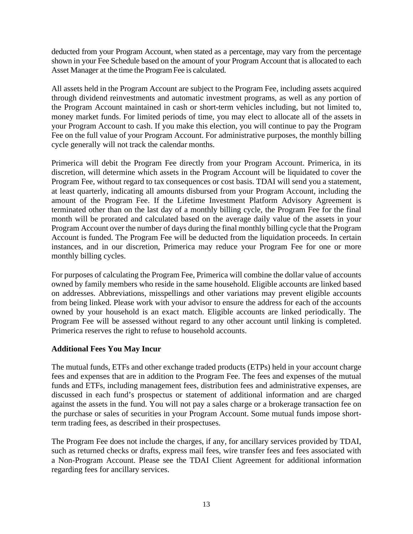deducted from your Program Account, when stated as a percentage, may vary from the percentage shown in your Fee Schedule based on the amount of your Program Account that is allocated to each Asset Manager at the time the Program Fee is calculated.

All assets held in the Program Account are subject to the Program Fee, including assets acquired through dividend reinvestments and automatic investment programs, as well as any portion of the Program Account maintained in cash or short-term vehicles including, but not limited to, money market funds. For limited periods of time, you may elect to allocate all of the assets in your Program Account to cash. If you make this election, you will continue to pay the Program Fee on the full value of your Program Account. For administrative purposes, the monthly billing cycle generally will not track the calendar months.

Primerica will debit the Program Fee directly from your Program Account. Primerica, in its discretion, will determine which assets in the Program Account will be liquidated to cover the Program Fee, without regard to tax consequences or cost basis. TDAI will send you a statement, at least quarterly, indicating all amounts disbursed from your Program Account, including the amount of the Program Fee. If the Lifetime Investment Platform Advisory Agreement is terminated other than on the last day of a monthly billing cycle, the Program Fee for the final month will be prorated and calculated based on the average daily value of the assets in your Program Account over the number of days during the final monthly billing cycle that the Program Account is funded. The Program Fee will be deducted from the liquidation proceeds. In certain instances, and in our discretion, Primerica may reduce your Program Fee for one or more monthly billing cycles.

For purposes of calculating the Program Fee, Primerica will combine the dollar value of accounts owned by family members who reside in the same household. Eligible accounts are linked based on addresses. Abbreviations, misspellings and other variations may prevent eligible accounts from being linked. Please work with your advisor to ensure the address for each of the accounts owned by your household is an exact match. Eligible accounts are linked periodically. The Program Fee will be assessed without regard to any other account until linking is completed. Primerica reserves the right to refuse to household accounts.

#### **Additional Fees You May Incur**

The mutual funds, ETFs and other exchange traded products (ETPs) held in your account charge fees and expenses that are in addition to the Program Fee. The fees and expenses of the mutual funds and ETFs, including management fees, distribution fees and administrative expenses, are discussed in each fund's prospectus or statement of additional information and are charged against the assets in the fund. You will not pay a sales charge or a brokerage transaction fee on the purchase or sales of securities in your Program Account. Some mutual funds impose shortterm trading fees, as described in their prospectuses.

The Program Fee does not include the charges, if any, for ancillary services provided by TDAI, such as returned checks or drafts, express mail fees, wire transfer fees and fees associated with a Non-Program Account. Please see the TDAI Client Agreement for additional information regarding fees for ancillary services.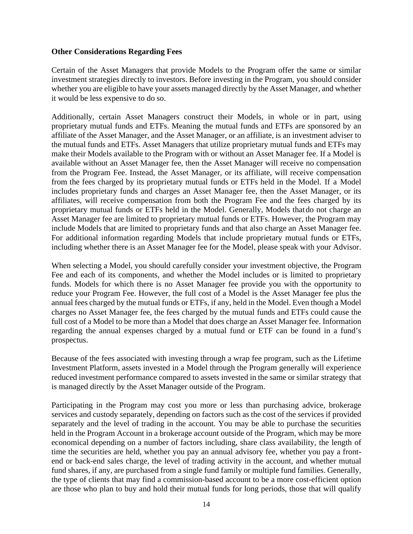#### **Other Considerations Regarding Fees**

Certain of the Asset Managers that provide Models to the Program offer the same or similar investment strategies directly to investors. Before investing in the Program, you should consider whether you are eligible to have your assets managed directly by the Asset Manager, and whether it would be less expensive to do so.

Additionally, certain Asset Managers construct their Models, in whole or in part, using proprietary mutual funds and ETFs. Meaning the mutual funds and ETFs are sponsored by an affiliate of the Asset Manager, and the Asset Manager, or an affiliate, is an investment adviser to the mutual funds and ETFs. Asset Managers that utilize proprietary mutual funds and ETFs may make their Models available to the Program with or without an Asset Manager fee. If a Model is available without an Asset Manager fee, then the Asset Manager will receive no compensation from the Program Fee. Instead, the Asset Manager, or its affiliate, will receive compensation from the fees charged by its proprietary mutual funds or ETFs held in the Model. If a Model includes proprietary funds and charges an Asset Manager fee, then the Asset Manager, or its affiliates, will receive compensation from both the Program Fee and the fees charged by its proprietary mutual funds or ETFs held in the Model. Generally, Models thatdo not charge an Asset Manager fee are limited to proprietary mutual funds or ETFs. However, the Program may include Models that are limited to proprietary funds and that also charge an Asset Manager fee. For additional information regarding Models that include proprietary mutual funds or ETFs, including whether there is an Asset Manager fee for the Model, please speak with your Advisor.

When selecting a Model, you should carefully consider your investment objective, the Program Fee and each of its components, and whether the Model includes or is limited to proprietary funds. Models for which there is no Asset Manager fee provide you with the opportunity to reduce your Program Fee. However, the full cost of a Model is the Asset Manager fee plus the annual fees charged by the mutual funds or ETFs, if any, held in the Model. Even though a Model charges no Asset Manager fee, the fees charged by the mutual funds and ETFs could cause the full cost of a Model to be more than a Model that does charge an Asset Manager fee. Information regarding the annual expenses charged by a mutual fund or ETF can be found in a fund's prospectus.

Because of the fees associated with investing through a wrap fee program, such as the Lifetime Investment Platform, assets invested in a Model through the Program generally will experience reduced investment performance compared to assets invested in the same or similar strategy that is managed directly by the Asset Manager outside of the Program.

Participating in the Program may cost you more or less than purchasing advice, brokerage services and custody separately, depending on factors such as the cost of the services if provided separately and the level of trading in the account. You may be able to purchase the securities held in the Program Account in a brokerage account outside of the Program, which may be more economical depending on a number of factors including, share class availability, the length of time the securities are held, whether you pay an annual advisory fee, whether you pay a frontend or back-end sales charge, the level of trading activity in the account, and whether mutual fund shares, if any, are purchased from a single fund family or multiple fund families. Generally, the type of clients that may find a commission-based account to be a more cost-efficient option are those who plan to buy and hold their mutual funds for long periods, those that will qualify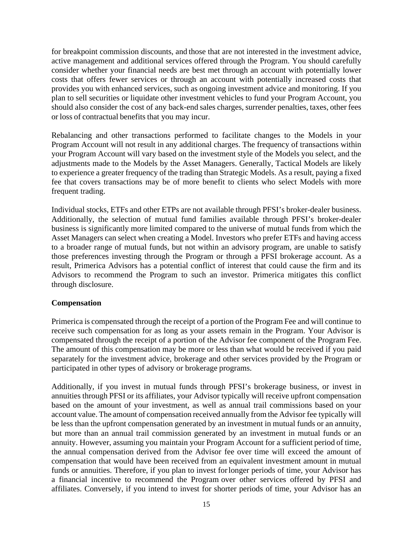for breakpoint commission discounts, and those that are not interested in the investment advice, active management and additional services offered through the Program. You should carefully consider whether your financial needs are best met through an account with potentially lower costs that offers fewer services or through an account with potentially increased costs that provides you with enhanced services, such as ongoing investment advice and monitoring. If you plan to sell securities or liquidate other investment vehicles to fund your Program Account, you should also consider the cost of any back-end sales charges, surrender penalties, taxes, other fees or loss of contractual benefits that you may incur.

Rebalancing and other transactions performed to facilitate changes to the Models in your Program Account will not result in any additional charges. The frequency of transactions within your Program Account will vary based on the investment style of the Models you select, and the adjustments made to the Models by the Asset Managers. Generally, Tactical Models are likely to experience a greater frequency of the trading than Strategic Models. As a result, paying a fixed fee that covers transactions may be of more benefit to clients who select Models with more frequent trading.

Individual stocks, ETFs and other ETPs are not available through PFSI's broker-dealer business. Additionally, the selection of mutual fund families available through PFSI's broker-dealer business is significantly more limited compared to the universe of mutual funds from which the Asset Managers can select when creating a Model. Investors who prefer ETFs and having access to a broader range of mutual funds, but not within an advisory program, are unable to satisfy those preferences investing through the Program or through a PFSI brokerage account. As a result, Primerica Advisors has a potential conflict of interest that could cause the firm and its Advisors to recommend the Program to such an investor. Primerica mitigates this conflict through disclosure.

#### **Compensation**

Primerica is compensated through the receipt of a portion of the Program Fee and will continue to receive such compensation for as long as your assets remain in the Program. Your Advisor is compensated through the receipt of a portion of the Advisor fee component of the Program Fee. The amount of this compensation may be more or less than what would be received if you paid separately for the investment advice, brokerage and other services provided by the Program or participated in other types of advisory or brokerage programs.

Additionally, if you invest in mutual funds through PFSI's brokerage business, or invest in annuities through PFSI or its affiliates, your Advisor typically will receive upfront compensation based on the amount of your investment, as well as annual trail commissions based on your account value. The amount of compensation received annually from the Advisor fee typically will be less than the upfront compensation generated by an investment in mutual funds or an annuity, but more than an annual trail commission generated by an investment in mutual funds or an annuity. However, assuming you maintain your Program Account for a sufficient period of time, the annual compensation derived from the Advisor fee over time will exceed the amount of compensation that would have been received from an equivalent investment amount in mutual funds or annuities. Therefore, if you plan to invest forlonger periods of time, your Advisor has a financial incentive to recommend the Program over other services offered by PFSI and affiliates. Conversely, if you intend to invest for shorter periods of time, your Advisor has an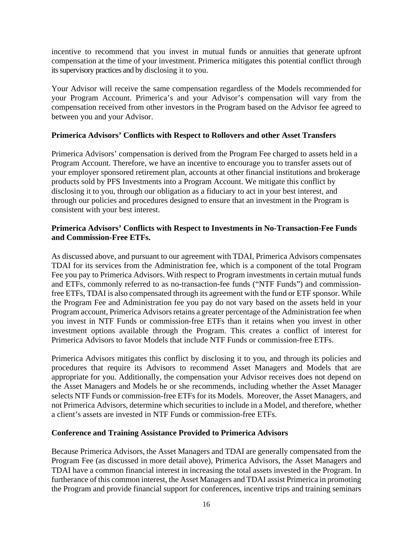incentive to recommend that you invest in mutual funds or annuities that generate upfront compensation at the time of your investment. Primerica mitigates this potential conflict through its supervisory practices and by disclosing it to you.

Your Advisor will receive the same compensation regardless of the Models recommended for your Program Account. Primerica's and your Advisor's compensation will vary from the compensation received from other investors in the Program based on the Advisor fee agreed to between you and your Advisor.

#### **Primerica Advisors' Conflicts with Respect to Rollovers and other Asset Transfers**

Primerica Advisors' compensation is derived from the Program Fee charged to assets held in a Program Account. Therefore, we have an incentive to encourage you to transfer assets out of your employer sponsored retirement plan, accounts at other financial institutions and brokerage products sold by PFS Investments into a Program Account. We mitigate this conflict by disclosing it to you, through our obligation as a fiduciary to act in your best interest, and through our policies and procedures designed to ensure that an investment in the Program is consistent with your best interest.

# **Primerica Advisors' Conflicts with Respect to Investments in No-Transaction-Fee Funds and Commission-Free ETFs.**

As discussed above, and pursuant to our agreement with TDAI, Primerica Advisors compensates TDAI for its services from the Administration fee, which is a component of the total Program Fee you pay to Primerica Advisors. With respect to Program investments in certain mutual funds and ETFs, commonly referred to as no-transaction-fee funds ("NTF Funds") and commissionfree ETFs, TDAI is also compensated through its agreement with the fund or ETF sponsor. While the Program Fee and Administration fee you pay do not vary based on the assets held in your Program account, Primerica Advisors retains a greater percentage of the Administration fee when you invest in NTF Funds or commission-free ETFs than it retains when you invest in other investment options available through the Program. This creates a conflict of interest for Primerica Advisors to favor Models that include NTF Funds or commission-free ETFs.

Primerica Advisors mitigates this conflict by disclosing it to you, and through its policies and procedures that require its Advisors to recommend Asset Managers and Models that are appropriate for you. Additionally, the compensation your Advisor receives does not depend on the Asset Managers and Models he or she recommends, including whether the Asset Manager selects NTF Funds or commission-free ETFs for its Models. Moreover, the Asset Managers, and not Primerica Advisors, determine which securities to include in a Model, and therefore, whether a client's assets are invested in NTF Funds or commission-free ETFs.

#### **Conference and Training Assistance Provided to Primerica Advisors**

Because Primerica Advisors, the Asset Managers and TDAI are generally compensated from the Program Fee (as discussed in more detail above), Primerica Advisors, the Asset Managers and TDAI have a common financial interest in increasing the total assets invested in the Program. In furtherance of this common interest, the Asset Managers and TDAI assist Primerica in promoting the Program and provide financial support for conferences, incentive trips and training seminars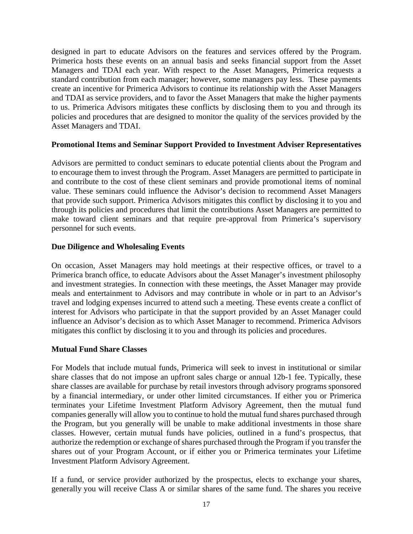designed in part to educate Advisors on the features and services offered by the Program. Primerica hosts these events on an annual basis and seeks financial support from the Asset Managers and TDAI each year. With respect to the Asset Managers, Primerica requests a standard contribution from each manager; however, some managers pay less. These payments create an incentive for Primerica Advisors to continue its relationship with the Asset Managers and TDAI as service providers, and to favor the Asset Managers that make the higher payments to us. Primerica Advisors mitigates these conflicts by disclosing them to you and through its policies and procedures that are designed to monitor the quality of the services provided by the Asset Managers and TDAI.

#### **Promotional Items and Seminar Support Provided to Investment Adviser Representatives**

Advisors are permitted to conduct seminars to educate potential clients about the Program and to encourage them to invest through the Program. Asset Managers are permitted to participate in and contribute to the cost of these client seminars and provide promotional items of nominal value. These seminars could influence the Advisor's decision to recommend Asset Managers that provide such support. Primerica Advisors mitigates this conflict by disclosing it to you and through its policies and procedures that limit the contributions Asset Managers are permitted to make toward client seminars and that require pre-approval from Primerica's supervisory personnel for such events.

#### **Due Diligence and Wholesaling Events**

On occasion, Asset Managers may hold meetings at their respective offices, or travel to a Primerica branch office, to educate Advisors about the Asset Manager's investment philosophy and investment strategies. In connection with these meetings, the Asset Manager may provide meals and entertainment to Advisors and may contribute in whole or in part to an Advisor's travel and lodging expenses incurred to attend such a meeting. These events create a conflict of interest for Advisors who participate in that the support provided by an Asset Manager could influence an Advisor's decision as to which Asset Manager to recommend. Primerica Advisors mitigates this conflict by disclosing it to you and through its policies and procedures.

#### **Mutual Fund Share Classes**

For Models that include mutual funds, Primerica will seek to invest in institutional or similar share classes that do not impose an upfront sales charge or annual 12b-1 fee. Typically, these share classes are available for purchase by retail investors through advisory programs sponsored by a financial intermediary, or under other limited circumstances. If either you or Primerica terminates your Lifetime Investment Platform Advisory Agreement, then the mutual fund companies generally will allow you to continue to hold the mutual fund shares purchased through the Program, but you generally will be unable to make additional investments in those share classes. However, certain mutual funds have policies, outlined in a fund's prospectus, that authorize the redemption or exchange of shares purchased through the Program if you transfer the shares out of your Program Account, or if either you or Primerica terminates your Lifetime Investment Platform Advisory Agreement.

If a fund, or service provider authorized by the prospectus, elects to exchange your shares, generally you will receive Class A or similar shares of the same fund. The shares you receive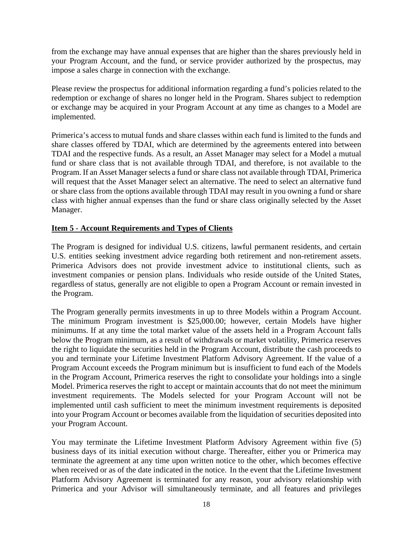from the exchange may have annual expenses that are higher than the shares previously held in your Program Account, and the fund, or service provider authorized by the prospectus, may impose a sales charge in connection with the exchange.

Please review the prospectus for additional information regarding a fund's policies related to the redemption or exchange of shares no longer held in the Program. Shares subject to redemption or exchange may be acquired in your Program Account at any time as changes to a Model are implemented.

Primerica's access to mutual funds and share classes within each fund is limited to the funds and share classes offered by TDAI, which are determined by the agreements entered into between TDAI and the respective funds. As a result, an Asset Manager may select for a Model a mutual fund or share class that is not available through TDAI, and therefore, is not available to the Program. If an Asset Manager selects a fund or share class not available through TDAI, Primerica will request that the Asset Manager select an alternative. The need to select an alternative fund or share class from the options available through TDAI may result in you owning a fund or share class with higher annual expenses than the fund or share class originally selected by the Asset Manager.

# <span id="page-17-0"></span>**Item 5** - **Account Requirements and Types of Clients**

The Program is designed for individual U.S. citizens, lawful permanent residents, and certain U.S. entities seeking investment advice regarding both retirement and non-retirement assets. Primerica Advisors does not provide investment advice to institutional clients, such as investment companies or pension plans. Individuals who reside outside of the United States, regardless of status, generally are not eligible to open a Program Account or remain invested in the Program.

The Program generally permits investments in up to three Models within a Program Account. The minimum Program investment is \$25,000.00; however, certain Models have higher minimums. If at any time the total market value of the assets held in a Program Account falls below the Program minimum, as a result of withdrawals or market volatility, Primerica reserves the right to liquidate the securities held in the Program Account, distribute the cash proceeds to you and terminate your Lifetime Investment Platform Advisory Agreement. If the value of a Program Account exceeds the Program minimum but is insufficient to fund each of the Models in the Program Account, Primerica reserves the right to consolidate your holdings into a single Model. Primerica reserves the right to accept or maintain accounts that do not meet the minimum investment requirements. The Models selected for your Program Account will not be implemented until cash sufficient to meet the minimum investment requirements is deposited into your Program Account or becomes available from the liquidation of securities deposited into your Program Account.

You may terminate the Lifetime Investment Platform Advisory Agreement within five (5) business days of its initial execution without charge. Thereafter, either you or Primerica may terminate the agreement at any time upon written notice to the other, which becomes effective when received or as of the date indicated in the notice. In the event that the Lifetime Investment Platform Advisory Agreement is terminated for any reason, your advisory relationship with Primerica and your Advisor will simultaneously terminate, and all features and privileges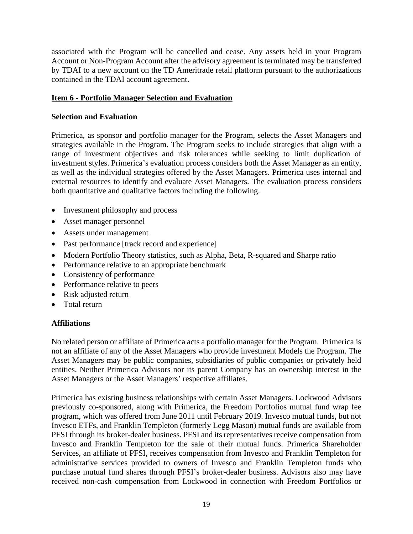associated with the Program will be cancelled and cease. Any assets held in your Program Account or Non-Program Account after the advisory agreement is terminated may be transferred by TDAI to a new account on the TD Ameritrade retail platform pursuant to the authorizations contained in the TDAI account agreement.

#### **Item 6** - **Portfolio Manager Selection and Evaluation**

#### **Selection and Evaluation**

Primerica, as sponsor and portfolio manager for the Program, selects the Asset Managers and strategies available in the Program. The Program seeks to include strategies that align with a range of investment objectives and risk tolerances while seeking to limit duplication of investment styles. Primerica's evaluation process considers both the Asset Manager as an entity, as well as the individual strategies offered by the Asset Managers. Primerica uses internal and external resources to identify and evaluate Asset Managers. The evaluation process considers both quantitative and qualitative factors including the following.

- Investment philosophy and process
- Asset manager personnel
- Assets under management
- Past performance [track record and experience]
- Modern Portfolio Theory statistics, such as Alpha, Beta, R-squared and Sharpe ratio
- Performance relative to an appropriate benchmark
- Consistency of performance
- Performance relative to peers
- Risk adjusted return
- Total return

#### **Affiliations**

No related person or affiliate of Primerica acts a portfolio manager for the Program. Primerica is not an affiliate of any of the Asset Managers who provide investment Models the Program. The Asset Managers may be public companies, subsidiaries of public companies or privately held entities. Neither Primerica Advisors nor its parent Company has an ownership interest in the Asset Managers or the Asset Managers' respective affiliates.

Primerica has existing business relationships with certain Asset Managers. Lockwood Advisors previously co-sponsored, along with Primerica, the Freedom Portfolios mutual fund wrap fee program, which was offered from June 2011 until February 2019. Invesco mutual funds, but not Invesco ETFs, and Franklin Templeton (formerly Legg Mason) mutual funds are available from PFSI through its broker-dealer business. PFSI and its representatives receive compensation from Invesco and Franklin Templeton for the sale of their mutual funds. Primerica Shareholder Services, an affiliate of PFSI, receives compensation from Invesco and Franklin Templeton for administrative services provided to owners of Invesco and Franklin Templeton funds who purchase mutual fund shares through PFSI's broker-dealer business. Advisors also may have received non-cash compensation from Lockwood in connection with Freedom Portfolios or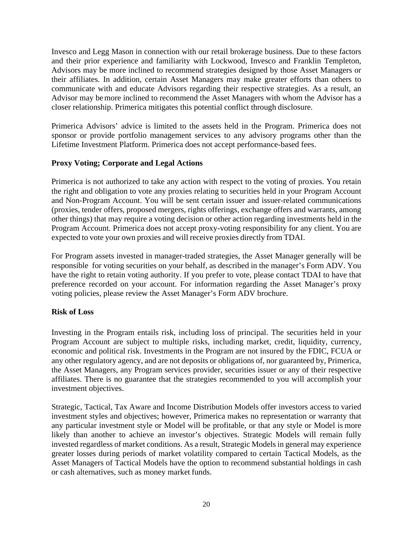Invesco and Legg Mason in connection with our retail brokerage business. Due to these factors and their prior experience and familiarity with Lockwood, Invesco and Franklin Templeton, Advisors may be more inclined to recommend strategies designed by those Asset Managers or their affiliates. In addition, certain Asset Managers may make greater efforts than others to communicate with and educate Advisors regarding their respective strategies. As a result, an Advisor may bemore inclined to recommend the Asset Managers with whom the Advisor has a closer relationship. Primerica mitigates this potential conflict through disclosure.

Primerica Advisors' advice is limited to the assets held in the Program. Primerica does not sponsor or provide portfolio management services to any advisory programs other than the Lifetime Investment Platform. Primerica does not accept performance-based fees.

# **Proxy Voting; Corporate and Legal Actions**

Primerica is not authorized to take any action with respect to the voting of proxies. You retain the right and obligation to vote any proxies relating to securities held in your Program Account and Non-Program Account. You will be sent certain issuer and issuer-related communications (proxies, tender offers, proposed mergers, rights offerings, exchange offers and warrants, among other things) that may require a voting decision or other action regarding investments held in the Program Account. Primerica does not accept proxy-voting responsibility for any client. You are expected to vote your own proxies and will receive proxies directly from TDAI.

For Program assets invested in manager-traded strategies, the Asset Manager generally will be responsible for voting securities on your behalf, as described in the manager's Form ADV. You have the right to retain voting authority. If you prefer to vote, please contact TDAI to have that preference recorded on your account. For information regarding the Asset Manager's proxy voting policies, please review the Asset Manager's Form ADV brochure.

#### **Risk of Loss**

Investing in the Program entails risk, including loss of principal. The securities held in your Program Account are subject to multiple risks, including market, credit, liquidity, currency, economic and political risk. Investments in the Program are not insured by the FDIC, FCUA or any other regulatory agency, and are not deposits or obligations of, nor guaranteed by, Primerica, the Asset Managers, any Program services provider, securities issuer or any of their respective affiliates. There is no guarantee that the strategies recommended to you will accomplish your investment objectives.

Strategic, Tactical, Tax Aware and Income Distribution Models offer investors access to varied investment styles and objectives; however, Primerica makes no representation or warranty that any particular investment style or Model will be profitable, or that any style or Model is more likely than another to achieve an investor's objectives. Strategic Models will remain fully invested regardless of market conditions. As a result, Strategic Models in general may experience greater losses during periods of market volatility compared to certain Tactical Models, as the Asset Managers of Tactical Models have the option to recommend substantial holdings in cash or cash alternatives, such as money market funds.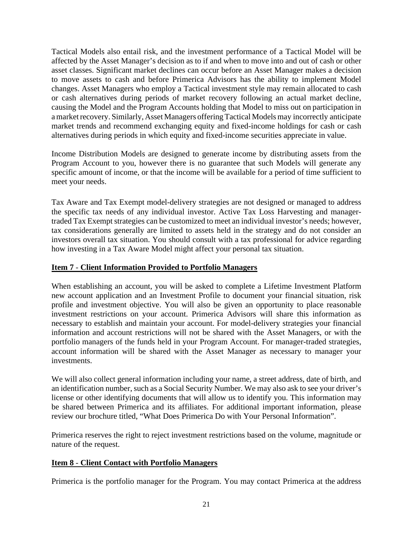Tactical Models also entail risk, and the investment performance of a Tactical Model will be affected by the Asset Manager's decision as to if and when to move into and out of cash or other asset classes. Significant market declines can occur before an Asset Manager makes a decision to move assets to cash and before Primerica Advisors has the ability to implement Model changes. Asset Managers who employ a Tactical investment style may remain allocated to cash or cash alternatives during periods of market recovery following an actual market decline, causing the Model and the Program Accounts holding that Model to miss out on participation in a marketrecovery. Similarly, Asset Managers offeringTactical Models may incorrectly anticipate market trends and recommend exchanging equity and fixed-income holdings for cash or cash alternatives during periods in which equity and fixed-income securities appreciate in value.

Income Distribution Models are designed to generate income by distributing assets from the Program Account to you, however there is no guarantee that such Models will generate any specific amount of income, or that the income will be available for a period of time sufficient to meet your needs.

Tax Aware and Tax Exempt model-delivery strategies are not designed or managed to address the specific tax needs of any individual investor. Active Tax Loss Harvesting and managertraded Tax Exempt strategies can be customized to meet an individual investor's needs; however, tax considerations generally are limited to assets held in the strategy and do not consider an investors overall tax situation. You should consult with a tax professional for advice regarding how investing in a Tax Aware Model might affect your personal tax situation.

#### <span id="page-20-0"></span>**Item 7** - **Client Information Provided to Portfolio Managers**

When establishing an account, you will be asked to complete a Lifetime Investment Platform new account application and an Investment Profile to document your financial situation, risk profile and investment objective. You will also be given an opportunity to place reasonable investment restrictions on your account. Primerica Advisors will share this information as necessary to establish and maintain your account. For model-delivery strategies your financial information and account restrictions will not be shared with the Asset Managers, or with the portfolio managers of the funds held in your Program Account. For manager-traded strategies, account information will be shared with the Asset Manager as necessary to manager your investments.

We will also collect general information including your name, a street address, date of birth, and an identification number, such as a Social Security Number. We may also ask to see your driver's license or other identifying documents that will allow us to identify you. This information may be shared between Primerica and its affiliates. For additional important information, please review our brochure titled, "What Does Primerica Do with Your Personal Information".

Primerica reserves the right to reject investment restrictions based on the volume, magnitude or nature of the request.

#### <span id="page-20-1"></span>**Item 8** - **Client Contact with Portfolio Managers**

Primerica is the portfolio manager for the Program. You may contact Primerica at the address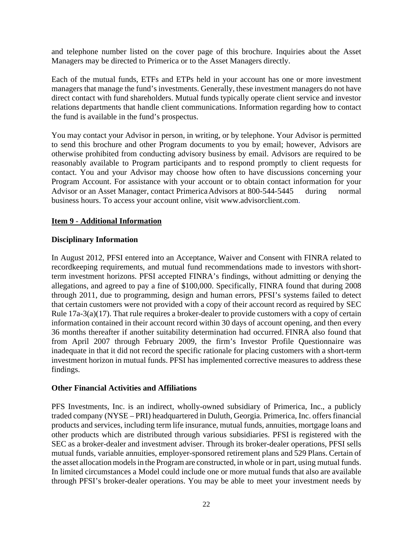and telephone number listed on the cover page of this brochure. Inquiries about the Asset Managers may be directed to Primerica or to the Asset Managers directly.

Each of the mutual funds, ETFs and ETPs held in your account has one or more investment managers that manage the fund's investments. Generally, these investment managers do not have direct contact with fund shareholders. Mutual funds typically operate client service and investor relations departments that handle client communications. Information regarding how to contact the fund is available in the fund's prospectus.

You may contact your Advisor in person, in writing, or by telephone. Your Advisor is permitted to send this brochure and other Program documents to you by email; however, Advisors are otherwise prohibited from conducting advisory business by email. Advisors are required to be reasonably available to Program participants and to respond promptly to client requests for contact. You and your Advisor may choose how often to have discussions concerning your Program Account. For assistance with your account or to obtain contact information for your Advisor or an Asset Manager, contact Primerica Advisors at 800-544-5445 during normal business hours. To access your account online, visit [www.advisorclient.com.](http://www.advisorclient.com/)

#### **Item 9** - **Additional Information**

#### **Disciplinary Information**

In August 2012, PFSI entered into an Acceptance, Waiver and Consent with FINRA related to recordkeeping requirements, and mutual fund recommendations made to investors with shortterm investment horizons. PFSI accepted FINRA's findings, without admitting or denying the allegations, and agreed to pay a fine of \$100,000. Specifically, FINRA found that during 2008 through 2011, due to programming, design and human errors, PFSI's systems failed to detect that certain customers were not provided with a copy of their account record as required by SEC Rule 17a-3(a)(17). That rule requires a broker-dealer to provide customers with a copy of certain information contained in their account record within 30 days of account opening, and then every 36 months thereafter if another suitability determination had occurred. FINRA also found that from April 2007 through February 2009, the firm's Investor Profile Questionnaire was inadequate in that it did not record the specific rationale for placing customers with a short-term investment horizon in mutual funds. PFSI has implemented corrective measures to address these findings.

#### **Other Financial Activities and Affiliations**

PFS Investments, Inc. is an indirect, wholly-owned subsidiary of Primerica, Inc., a publicly traded company (NYSE – PRI) headquartered in Duluth, Georgia. Primerica, Inc. offers financial products and services, including term life insurance, mutual funds, annuities, mortgage loans and other products which are distributed through various subsidiaries. PFSI is registered with the SEC as a broker-dealer and investment adviser. Through its broker-dealer operations, PFSI sells mutual funds, variable annuities, employer-sponsored retirement plans and 529 Plans. Certain of the asset allocation models in the Program are constructed, in whole or in part, using mutual funds. In limited circumstances a Model could include one or more mutual funds that also are available through PFSI's broker-dealer operations. You may be able to meet your investment needs by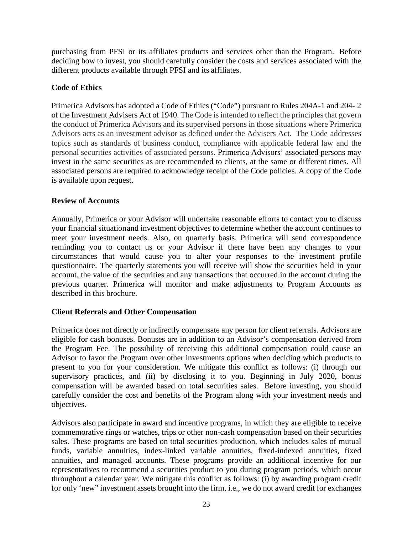purchasing from PFSI or its affiliates products and services other than the Program. Before deciding how to invest, you should carefully consider the costs and services associated with the different products available through PFSI and its affiliates.

# **Code of Ethics**

Primerica Advisors has adopted a Code of Ethics ("Code") pursuant to Rules 204A-1 and 204- 2 of the Investment Advisers Act of 1940. The Code is intended to reflect the principles that govern the conduct of Primerica Advisors and its supervised persons in those situations where Primerica Advisors acts as an investment advisor as defined under the Advisers Act. The Code addresses topics such as standards of business conduct, compliance with applicable federal law and the personal securities activities of associated persons. Primerica Advisors' associated persons may invest in the same securities as are recommended to clients, at the same or different times. All associated persons are required to acknowledge receipt of the Code policies. A copy of the Code is available upon request.

# **Review of Accounts**

Annually, Primerica or your Advisor will undertake reasonable efforts to contact you to discuss your financial situationand investment objectives to determine whether the account continues to meet your investment needs. Also, on quarterly basis, Primerica will send correspondence reminding you to contact us or your Advisor if there have been any changes to your circumstances that would cause you to alter your responses to the investment profile questionnaire. The quarterly statements you will receive will show the securities held in your account, the value of the securities and any transactions that occurred in the account during the previous quarter. Primerica will monitor and make adjustments to Program Accounts as described in this brochure.

#### **Client Referrals and Other Compensation**

Primerica does not directly or indirectly compensate any person for client referrals. Advisors are eligible for cash bonuses. Bonuses are in addition to an Advisor's compensation derived from the Program Fee. The possibility of receiving this additional compensation could cause an Advisor to favor the Program over other investments options when deciding which products to present to you for your consideration. We mitigate this conflict as follows: (i) through our supervisory practices, and (ii) by disclosing it to you. Beginning in July 2020, bonus compensation will be awarded based on total securities sales. Before investing, you should carefully consider the cost and benefits of the Program along with your investment needs and objectives.

Advisors also participate in award and incentive programs, in which they are eligible to receive commemorative rings or watches, trips or other non-cash compensation based on their securities sales. These programs are based on total securities production, which includes sales of mutual funds, variable annuities, index-linked variable annuities, fixed-indexed annuities, fixed annuities, and managed accounts. These programs provide an additional incentive for our representatives to recommend a securities product to you during program periods, which occur throughout a calendar year. We mitigate this conflict as follows: (i) by awarding program credit for only 'new" investment assets brought into the firm, i.e., we do not award credit for exchanges